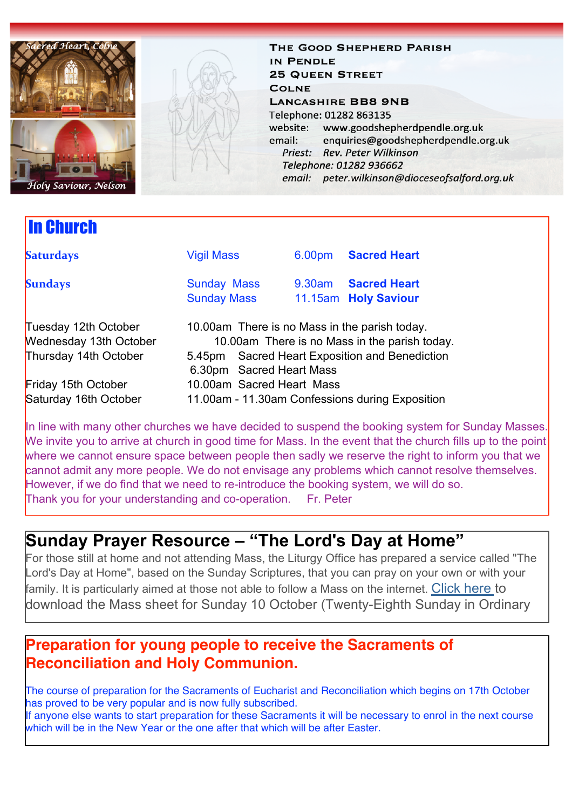

In Church

THE GOOD SHEPHERD PARISH IN PENDLE **25 QUEEN STREET COLNE LANCASHIRE BB8 9NB** Telephone: 01282 863135 website: www.goodshepherdpendle.org.uk email: enquiries@goodshepherdpendle.org.uk Priest: Rev. Peter Wilkinson Telephone: 01282 936662 email: peter.wilkinson@dioceseofsalford.org.uk

**Saturdays Vigil Mass** 6.00pm **Sacred Heart Sundays Sunday Mass** 9.30am **Sacred Heart**  Sunday Mass 11.15am **Holy Saviour**  Tuesday 12th October 10.00am There is no Mass in the parish today. Wednesday 13th October 10.00am There is no Mass in the parish today. Thursday 14th October 5.45pm Sacred Heart Exposition and Benediction 6.30pm Sacred Heart Mass **Friday 15th October** 10.00am Sacred Heart Mass Saturday 16th October 11.00am - 11.30am Confessions during Exposition

In line with many other churches we have decided to suspend the booking system for Sunday Masses. We invite you to arrive at church in good time for Mass. In the event that the church fills up to the point where we cannot ensure space between people then sadly we reserve the right to inform you that we cannot admit any more people. We do not envisage any problems which cannot resolve themselves. However, if we do find that we need to re-introduce the booking system, we will do so. Thank you for your understanding and co-operation. Fr. Peter

### **Sunday Prayer Resource – "The Lord's Day at Home"**

For those still at home and not attending Mass, the Liturgy Office has prepared a service called "The Lord's Day at Home", based on the Sunday Scriptures, that you can pray on your own or with your family. It is particularly aimed at those not able to follow a Mass on the internet. [Click here t](https://gbr01.safelinks.protection.outlook.com/?url=https%3A%2F%2Fdioceseofsalford.us6.list-manage.com%2Ftrack%2Fclick%3Fu%3D76e219dab8653b775ba8aac4c%26id%3D180152a22d%26e%3D5ce69633f0&data=04%7C01%7Cpeter.wilkinson%40dioceseofsalford.org.uk%7C4a4d551fbdd247be560408d988a39de3%7C699a61ae142a45a090c604b2f08de19b%7C0%7C0%7C637691058728474472%7CUnknown%7CTWFpbGZsb3d8eyJWIjoiMC4wLjAwMDAiLCJQIjoiV2luMzIiLCJBTiI6Ik1haWwiLCJXVCI6Mn0%3D%7C3000&sdata=evMnrEWWDZO4r0BNAwym15vd7KF93gN4LFF7g0tWHe0%3D&reserved=0)o download the Mass sheet for Sunday 10 October (Twenty-Eighth Sunday in Ordinary

### **Preparation for young people to receive the Sacraments of Reconciliation and Holy Communion.**

The course of preparation for the Sacraments of Eucharist and Reconciliation which begins on 17th October has proved to be very popular and is now fully subscribed.

If anyone else wants to start preparation for these Sacraments it will be necessary to enrol in the next course which will be in the New Year or the one after that which will be after Easter.